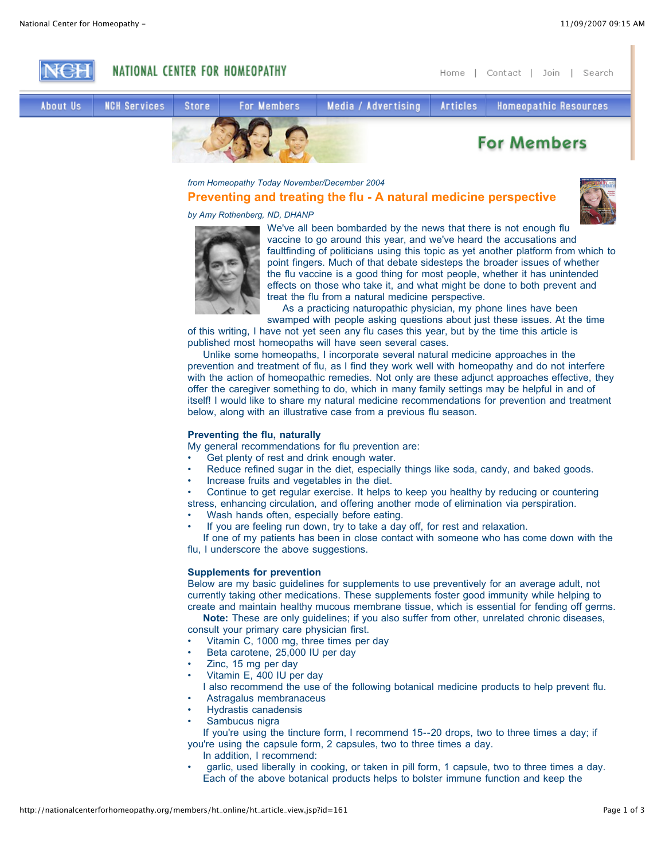

*from Homeopathy Today November/December 2004*

# **Preventing and treating the flu - A natural medicine perspective**



*by Amy Rothenberg, ND, DHANP*



We've all been bombarded by the news that there is not enough flu vaccine to go around this year, and we've heard the accusations and faultfinding of politicians using this topic as yet another platform from which to point fingers. Much of that debate sidesteps the broader issues of whether the flu vaccine is a good thing for most people, whether it has unintended effects on those who take it, and what might be done to both prevent and treat the flu from a natural medicine perspective.

As a practicing naturopathic physician, my phone lines have been swamped with people asking questions about just these issues. At the time

of this writing, I have not yet seen any flu cases this year, but by the time this article is published most homeopaths will have seen several cases.

Unlike some homeopaths, I incorporate several natural medicine approaches in the prevention and treatment of flu, as I find they work well with homeopathy and do not interfere with the action of homeopathic remedies. Not only are these adjunct approaches effective, they offer the caregiver something to do, which in many family settings may be helpful in and of itself! I would like to share my natural medicine recommendations for prevention and treatment below, along with an illustrative case from a previous flu season.

# **Preventing the flu, naturally**

My general recommendations for flu prevention are:

- Get plenty of rest and drink enough water.
- Reduce refined sugar in the diet, especially things like soda, candy, and baked goods.
- Increase fruits and vegetables in the diet.
- Continue to get regular exercise. It helps to keep you healthy by reducing or countering

stress, enhancing circulation, and offering another mode of elimination via perspiration.

- Wash hands often, especially before eating.
- If you are feeling run down, try to take a day off, for rest and relaxation.

If one of my patients has been in close contact with someone who has come down with the flu, I underscore the above suggestions.

## **Supplements for prevention**

Below are my basic guidelines for supplements to use preventively for an average adult, not currently taking other medications. These supplements foster good immunity while helping to create and maintain healthy mucous membrane tissue, which is essential for fending off germs.

**Note:** These are only guidelines; if you also suffer from other, unrelated chronic diseases, consult your primary care physician first.

Vitamin C, 1000 mg, three times per day

- Beta carotene, 25,000 IU per day
- Zinc, 15 mg per day

• Vitamin E, 400 IU per day

I also recommend the use of the following botanical medicine products to help prevent flu.

- Astragalus membranaceus
- Hydrastis canadensis
- Sambucus nigra

If you're using the tincture form, I recommend 15--20 drops, two to three times a day; if you're using the capsule form, 2 capsules, two to three times a day.

- In addition, I recommend:
- garlic, used liberally in cooking, or taken in pill form, 1 capsule, two to three times a day. Each of the above botanical products helps to bolster immune function and keep the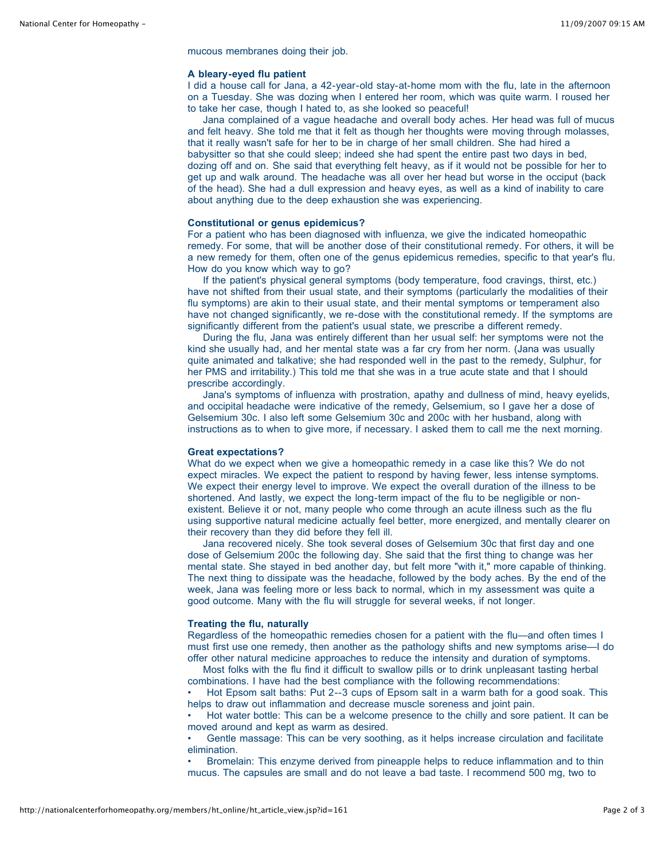mucous membranes doing their job.

#### **A bleary-eyed flu patient**

I did a house call for Jana, a 42-year-old stay-at-home mom with the flu, late in the afternoon on a Tuesday. She was dozing when I entered her room, which was quite warm. I roused her to take her case, though I hated to, as she looked so peaceful!

Jana complained of a vague headache and overall body aches. Her head was full of mucus and felt heavy. She told me that it felt as though her thoughts were moving through molasses, that it really wasn't safe for her to be in charge of her small children. She had hired a babysitter so that she could sleep; indeed she had spent the entire past two days in bed, dozing off and on. She said that everything felt heavy, as if it would not be possible for her to get up and walk around. The headache was all over her head but worse in the occiput (back of the head). She had a dull expression and heavy eyes, as well as a kind of inability to care about anything due to the deep exhaustion she was experiencing.

## **Constitutional or genus epidemicus?**

For a patient who has been diagnosed with influenza, we give the indicated homeopathic remedy. For some, that will be another dose of their constitutional remedy. For others, it will be a new remedy for them, often one of the genus epidemicus remedies, specific to that year's flu. How do you know which way to go?

If the patient's physical general symptoms (body temperature, food cravings, thirst, etc.) have not shifted from their usual state, and their symptoms (particularly the modalities of their flu symptoms) are akin to their usual state, and their mental symptoms or temperament also have not changed significantly, we re-dose with the constitutional remedy. If the symptoms are significantly different from the patient's usual state, we prescribe a different remedy.

During the flu, Jana was entirely different than her usual self: her symptoms were not the kind she usually had, and her mental state was a far cry from her norm. (Jana was usually quite animated and talkative; she had responded well in the past to the remedy, Sulphur, for her PMS and irritability.) This told me that she was in a true acute state and that I should prescribe accordingly.

Jana's symptoms of influenza with prostration, apathy and dullness of mind, heavy eyelids, and occipital headache were indicative of the remedy, Gelsemium, so I gave her a dose of Gelsemium 30c. I also left some Gelsemium 30c and 200c with her husband, along with instructions as to when to give more, if necessary. I asked them to call me the next morning.

#### **Great expectations?**

What do we expect when we give a homeopathic remedy in a case like this? We do not expect miracles. We expect the patient to respond by having fewer, less intense symptoms. We expect their energy level to improve. We expect the overall duration of the illness to be shortened. And lastly, we expect the long-term impact of the flu to be negligible or nonexistent. Believe it or not, many people who come through an acute illness such as the flu using supportive natural medicine actually feel better, more energized, and mentally clearer on their recovery than they did before they fell ill.

Jana recovered nicely. She took several doses of Gelsemium 30c that first day and one dose of Gelsemium 200c the following day. She said that the first thing to change was her mental state. She stayed in bed another day, but felt more "with it," more capable of thinking. The next thing to dissipate was the headache, followed by the body aches. By the end of the week, Jana was feeling more or less back to normal, which in my assessment was quite a good outcome. Many with the flu will struggle for several weeks, if not longer.

#### **Treating the flu, naturally**

Regardless of the homeopathic remedies chosen for a patient with the flu—and often times I must first use one remedy, then another as the pathology shifts and new symptoms arise—I do offer other natural medicine approaches to reduce the intensity and duration of symptoms.

Most folks with the flu find it difficult to swallow pills or to drink unpleasant tasting herbal combinations. I have had the best compliance with the following recommendations:

• Hot Epsom salt baths: Put 2--3 cups of Epsom salt in a warm bath for a good soak. This helps to draw out inflammation and decrease muscle soreness and joint pain.

• Hot water bottle: This can be a welcome presence to the chilly and sore patient. It can be moved around and kept as warm as desired.

• Gentle massage: This can be very soothing, as it helps increase circulation and facilitate elimination.

• Bromelain: This enzyme derived from pineapple helps to reduce inflammation and to thin mucus. The capsules are small and do not leave a bad taste. I recommend 500 mg, two to